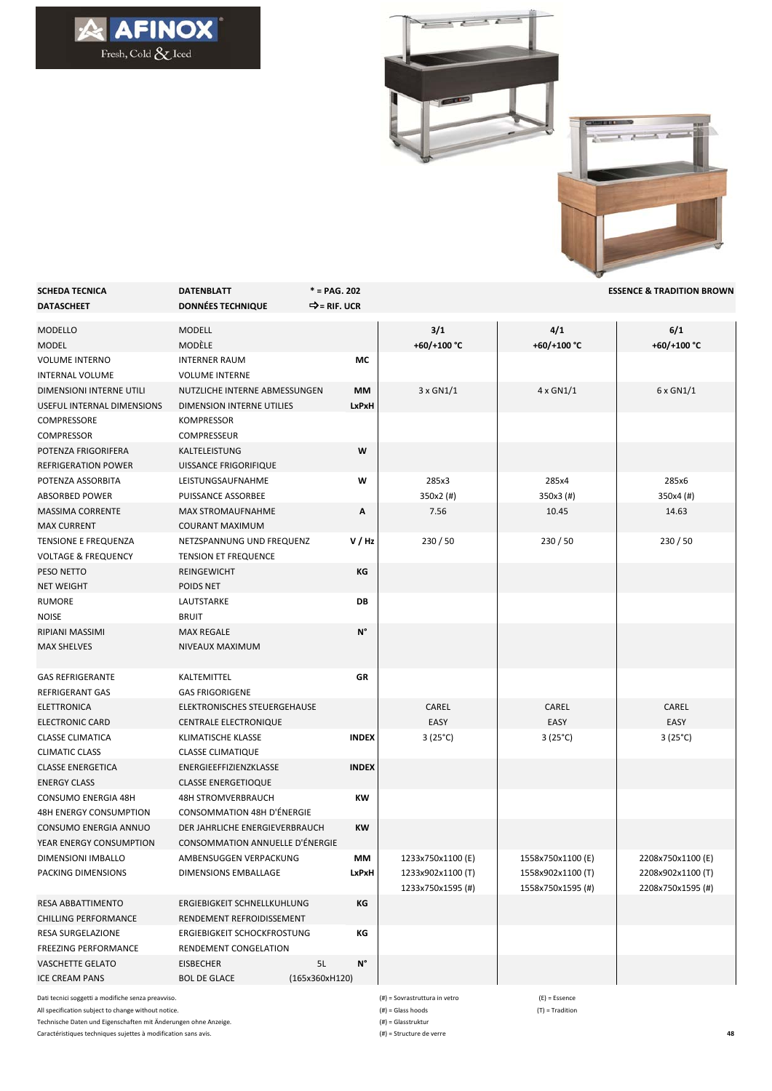## $\begin{picture}(180,10) \put(0,0){\line(1,0){10}} \put(15,0){\line(1,0){10}} \put(15,0){\line(1,0){10}} \put(15,0){\line(1,0){10}} \put(15,0){\line(1,0){10}} \put(15,0){\line(1,0){10}} \put(15,0){\line(1,0){10}} \put(15,0){\line(1,0){10}} \put(15,0){\line(1,0){10}} \put(15,0){\line(1,0){10}} \put(15,0){\line(1,0){10}} \put(15,0){\line($



| <b>SCHEDA TECNICA</b><br><b>DATASCHEET</b> | <b>DATENBLATT</b><br><b>DONNÉES TECHNIQUE</b> | $* = PAG. 202$<br>⇒= RIF. UCR |                    |                    | <b>ESSENCE &amp; TRADITION BROWN</b> |
|--------------------------------------------|-----------------------------------------------|-------------------------------|--------------------|--------------------|--------------------------------------|
| <b>MODELLO</b><br><b>MODEL</b>             | MODELL<br>MODÈLE                              |                               | 3/1<br>+60/+100 °C | 4/1<br>+60/+100 °C | 6/1<br>+60/+100 °C                   |
| <b>VOLUME INTERNO</b>                      | <b>INTERNER RAUM</b>                          | МC                            |                    |                    |                                      |
| <b>INTERNAL VOLUME</b>                     | <b>VOLUME INTERNE</b>                         |                               |                    |                    |                                      |
| DIMENSIONI INTERNE UTILI                   | NUTZLICHE INTERNE ABMESSUNGEN                 | МM                            | 3 x GN1/1          | $4 \times$ GN1/1   | 6 x GN1/1                            |
| USEFUL INTERNAL DIMENSIONS                 | DIMENSION INTERNE UTILIES                     | LxPxH                         |                    |                    |                                      |
| COMPRESSORE                                | <b>KOMPRESSOR</b>                             |                               |                    |                    |                                      |
| <b>COMPRESSOR</b>                          | <b>COMPRESSEUR</b>                            |                               |                    |                    |                                      |
| POTENZA FRIGORIFERA                        | KALTELEISTUNG                                 | W                             |                    |                    |                                      |
| <b>REFRIGERATION POWER</b>                 | UISSANCE FRIGORIFIQUE                         |                               |                    |                    |                                      |
| POTENZA ASSORBITA                          | LEISTUNGSAUFNAHME                             | W                             | 285x3              | 285x4              | 285x6                                |
| <b>ABSORBED POWER</b>                      | PUISSANCE ASSORBEE                            |                               | $350x2$ (#)        | 350x3 (#)          | 350x4 (#)                            |
| <b>MASSIMA CORRENTE</b>                    | <b>MAX STROMAUFNAHME</b>                      | Α                             | 7.56               | 10.45              | 14.63                                |
| <b>MAX CURRENT</b>                         | <b>COURANT MAXIMUM</b>                        |                               |                    |                    |                                      |
| TENSIONE E FREQUENZA                       | NETZSPANNUNG UND FREQUENZ                     | V/Hz                          | 230/50             | 230 / 50           | 230/50                               |
| <b>VOLTAGE &amp; FREQUENCY</b>             | <b>TENSION ET FREQUENCE</b>                   |                               |                    |                    |                                      |
| PESO NETTO                                 | REINGEWICHT                                   | КG                            |                    |                    |                                      |
| <b>NET WEIGHT</b>                          | POIDS NET                                     |                               |                    |                    |                                      |
| RUMORE                                     | LAUTSTARKE                                    | DB                            |                    |                    |                                      |
| <b>NOISE</b>                               | <b>BRUIT</b>                                  |                               |                    |                    |                                      |
| <b>RIPIANI MASSIMI</b>                     | <b>MAX REGALE</b>                             | N°                            |                    |                    |                                      |
| <b>MAX SHELVES</b>                         | NIVEAUX MAXIMUM                               |                               |                    |                    |                                      |
| <b>GAS REFRIGERANTE</b>                    | KALTEMITTEL                                   | GR                            |                    |                    |                                      |
| <b>REFRIGERANT GAS</b>                     | <b>GAS FRIGORIGENE</b>                        |                               |                    |                    |                                      |
| ELETTRONICA                                | ELEKTRONISCHES STEUERGEHAUSE                  |                               | CAREL              | CAREL              | CAREL                                |
| <b>ELECTRONIC CARD</b>                     | <b>CENTRALE ELECTRONIQUE</b>                  |                               | EASY               | EASY               | EASY                                 |
| <b>CLASSE CLIMATICA</b>                    | KLIMATISCHE KLASSE                            | <b>INDEX</b>                  | $3(25^{\circ}C)$   | $3(25^{\circ}C)$   | $3(25^{\circ}C)$                     |
| <b>CLIMATIC CLASS</b>                      | <b>CLASSE CLIMATIQUE</b>                      |                               |                    |                    |                                      |
| <b>CLASSE ENERGETICA</b>                   | ENERGIEEFFIZIENZKLASSE                        | <b>INDEX</b>                  |                    |                    |                                      |
| <b>ENERGY CLASS</b>                        | <b>CLASSE ENERGETIOQUE</b>                    |                               |                    |                    |                                      |
| <b>CONSUMO ENERGIA 48H</b>                 | <b>48H STROMVERBRAUCH</b>                     | КW                            |                    |                    |                                      |
| <b>48H ENERGY CONSUMPTION</b>              | <b>CONSOMMATION 48H D'ÉNERGIE</b>             |                               |                    |                    |                                      |
| CONSUMO ENERGIA ANNUO                      | DER JAHRLICHE ENERGIEVERBRAUCH                | KW                            |                    |                    |                                      |
| YEAR ENERGY CONSUMPTION                    | CONSOMMATION ANNUELLE D'ÉNERGIE               |                               |                    |                    |                                      |
| DIMENSIONI IMBALLO                         | AMBENSUGGEN VERPACKUNG                        | MМ                            | 1233x750x1100 (E)  | 1558x750x1100 (E)  | 2208x750x1100 (E)                    |
| PACKING DIMENSIONS                         | DIMENSIONS EMBALLAGE                          | <b>LxPxH</b>                  | 1233x902x1100 (T)  | 1558x902x1100 (T)  | 2208x902x1100 (T)                    |
|                                            |                                               |                               | 1233x750x1595(#)   | 1558x750x1595(#)   | 2208x750x1595(#)                     |
| RESA ABBATTIMENTO                          | ERGIEBIGKEIT SCHNELLKUHLUNG                   | КG                            |                    |                    |                                      |
| <b>CHILLING PERFORMANCE</b>                | RENDEMENT REFROIDISSEMENT                     |                               |                    |                    |                                      |
| RESA SURGELAZIONE                          | ERGIEBIGKEIT SCHOCKFROSTUNG                   | КG                            |                    |                    |                                      |
| <b>FREEZING PERFORMANCE</b>                | RENDEMENT CONGELATION                         |                               |                    |                    |                                      |
| <b>VASCHETTE GELATO</b>                    | <b>EISBECHER</b>                              | N°<br>5L                      |                    |                    |                                      |
| <b>ICE CREAM PANS</b>                      | <b>BOL DE GLACE</b>                           | (165x360xH120)                |                    |                    |                                      |

Dati tecnici soggetti a modifiche senza preavviso. All specification subject to change without notice.

Technische Daten und Eigenschaften mit Änderungen ohne Anzeige.

Caractéristiques techniques sujettes à modification sans avis.

(#) = Sovrastruttura in vetro (E) = Essence  $(\texttt{\#}) = \textsf{Glass}\ \textsf{hoods} \tag{\texttt{T}} = \textsf{Tradition}$ 

(#) = Glasstruktur

(#) = Structure de verre **48**

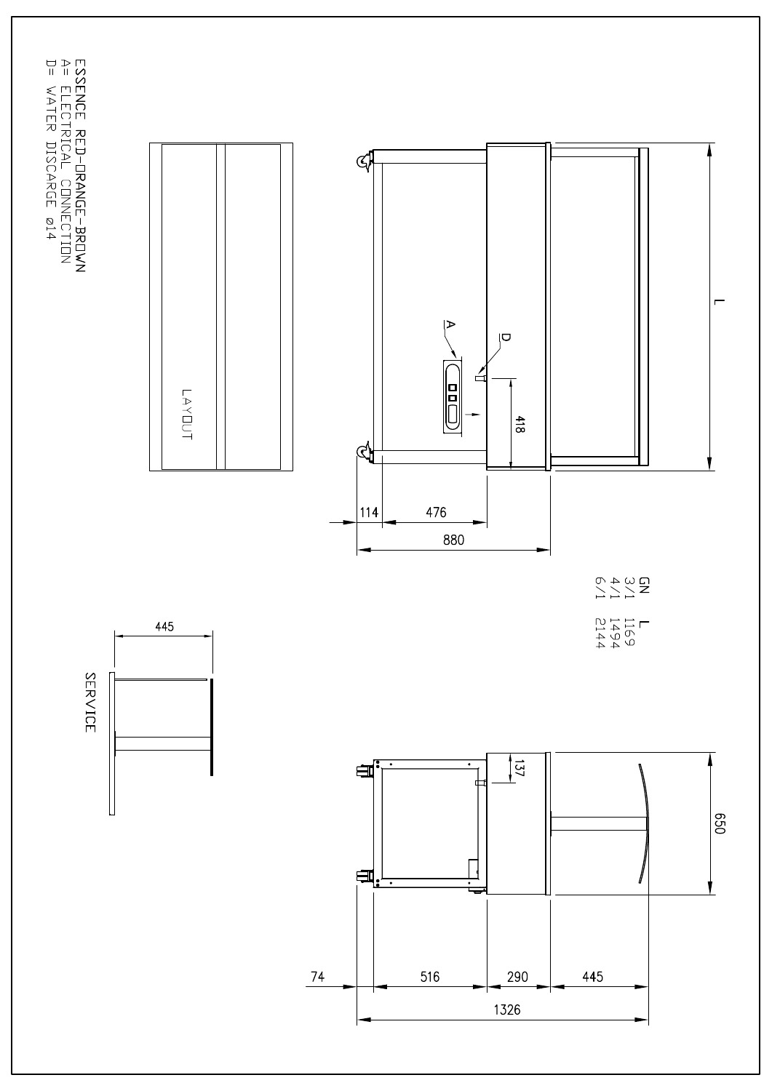ESSENCE RED-DRANGE-BRDWN<br>A= ELECTRICAL CONNECTION<br>D= WATER DISCARGE 014